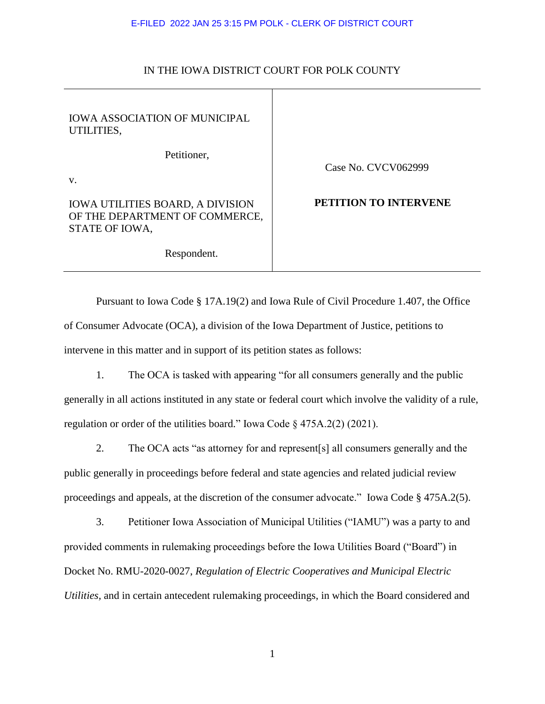### E-FILED 2022 JAN 25 3:15 PM POLK - CLERK OF DISTRICT COURT

# IN THE IOWA DISTRICT COURT FOR POLK COUNTY

 $\mathbf{I}$ 

| Case No. CVCV062999   |
|-----------------------|
| PETITION TO INTERVENE |
|                       |

Pursuant to Iowa Code § 17A.19(2) and Iowa Rule of Civil Procedure 1.407, the Office of Consumer Advocate (OCA), a division of the Iowa Department of Justice, petitions to intervene in this matter and in support of its petition states as follows:

1. The OCA is tasked with appearing "for all consumers generally and the public generally in all actions instituted in any state or federal court which involve the validity of a rule, regulation or order of the utilities board." Iowa Code § 475A.2(2) (2021).

2. The OCA acts "as attorney for and represent[s] all consumers generally and the public generally in proceedings before federal and state agencies and related judicial review proceedings and appeals, at the discretion of the consumer advocate." Iowa Code § 475A.2(5).

3. Petitioner Iowa Association of Municipal Utilities ("IAMU") was a party to and provided comments in rulemaking proceedings before the Iowa Utilities Board ("Board") in Docket No. RMU-2020-0027, *Regulation of Electric Cooperatives and Municipal Electric Utilities,* and in certain antecedent rulemaking proceedings, in which the Board considered and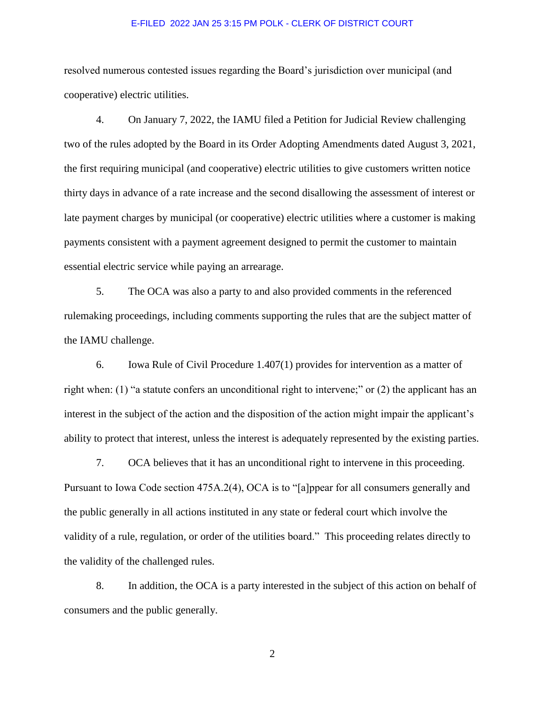#### E-FILED 2022 JAN 25 3:15 PM POLK - CLERK OF DISTRICT COURT

resolved numerous contested issues regarding the Board's jurisdiction over municipal (and cooperative) electric utilities.

4. On January 7, 2022, the IAMU filed a Petition for Judicial Review challenging two of the rules adopted by the Board in its Order Adopting Amendments dated August 3, 2021, the first requiring municipal (and cooperative) electric utilities to give customers written notice thirty days in advance of a rate increase and the second disallowing the assessment of interest or late payment charges by municipal (or cooperative) electric utilities where a customer is making payments consistent with a payment agreement designed to permit the customer to maintain essential electric service while paying an arrearage.

5. The OCA was also a party to and also provided comments in the referenced rulemaking proceedings, including comments supporting the rules that are the subject matter of the IAMU challenge.

6. Iowa Rule of Civil Procedure 1.407(1) provides for intervention as a matter of right when: (1) "a statute confers an unconditional right to intervene;" or (2) the applicant has an interest in the subject of the action and the disposition of the action might impair the applicant's ability to protect that interest, unless the interest is adequately represented by the existing parties.

7. OCA believes that it has an unconditional right to intervene in this proceeding. Pursuant to Iowa Code section 475A.2(4), OCA is to "[a]ppear for all consumers generally and the public generally in all actions instituted in any state or federal court which involve the validity of a rule, regulation, or order of the utilities board." This proceeding relates directly to the validity of the challenged rules.

8. In addition, the OCA is a party interested in the subject of this action on behalf of consumers and the public generally.

2